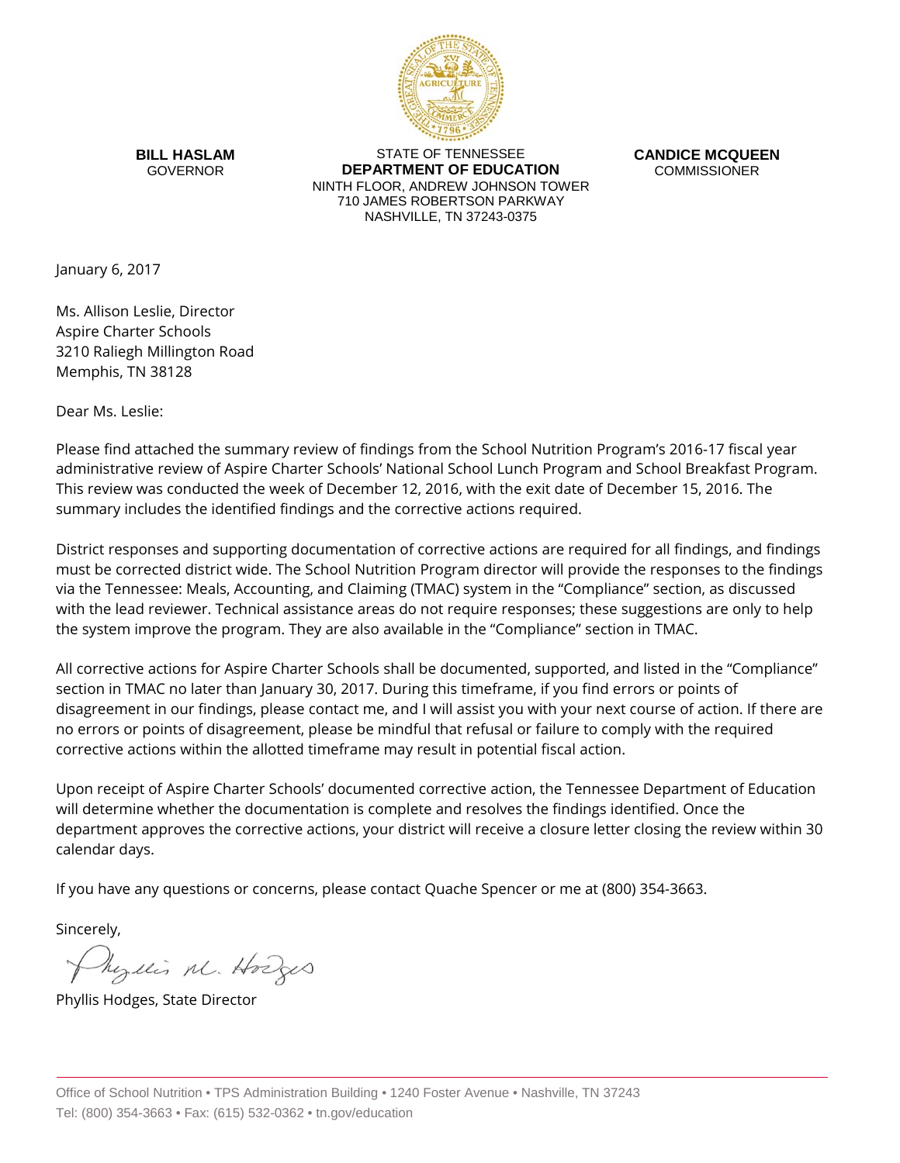

**BILL HASLAM** GOVERNOR

STATE OF TENNESSEE **DEPARTMENT OF EDUCATION** NINTH FLOOR, ANDREW JOHNSON TOWER 710 JAMES ROBERTSON PARKWAY NASHVILLE, TN 37243-0375

**CANDICE MCQUEEN** COMMISSIONER

January 6, 2017

Ms. Allison Leslie, Director Aspire Charter Schools 3210 Raliegh Millington Road Memphis, TN 38128

Dear Ms. Leslie:

Please find attached the summary review of findings from the School Nutrition Program's 2016-17 fiscal year administrative review of Aspire Charter Schools' National School Lunch Program and School Breakfast Program. This review was conducted the week of December 12, 2016, with the exit date of December 15, 2016. The summary includes the identified findings and the corrective actions required.

District responses and supporting documentation of corrective actions are required for all findings, and findings must be corrected district wide. The School Nutrition Program director will provide the responses to the findings via the Tennessee: Meals, Accounting, and Claiming (TMAC) system in the "Compliance" section, as discussed with the lead reviewer. Technical assistance areas do not require responses; these suggestions are only to help the system improve the program. They are also available in the "Compliance" section in TMAC.

All corrective actions for Aspire Charter Schools shall be documented, supported, and listed in the "Compliance" section in TMAC no later than January 30, 2017. During this timeframe, if you find errors or points of disagreement in our findings, please contact me, and I will assist you with your next course of action. If there are no errors or points of disagreement, please be mindful that refusal or failure to comply with the required corrective actions within the allotted timeframe may result in potential fiscal action.

Upon receipt of Aspire Charter Schools' documented corrective action, the Tennessee Department of Education will determine whether the documentation is complete and resolves the findings identified. Once the department approves the corrective actions, your district will receive a closure letter closing the review within 30 calendar days.

If you have any questions or concerns, please contact Quache Spencer or me at (800) 354-3663.

Sincerely,

Myllis M. Hodges

Phyllis Hodges, State Director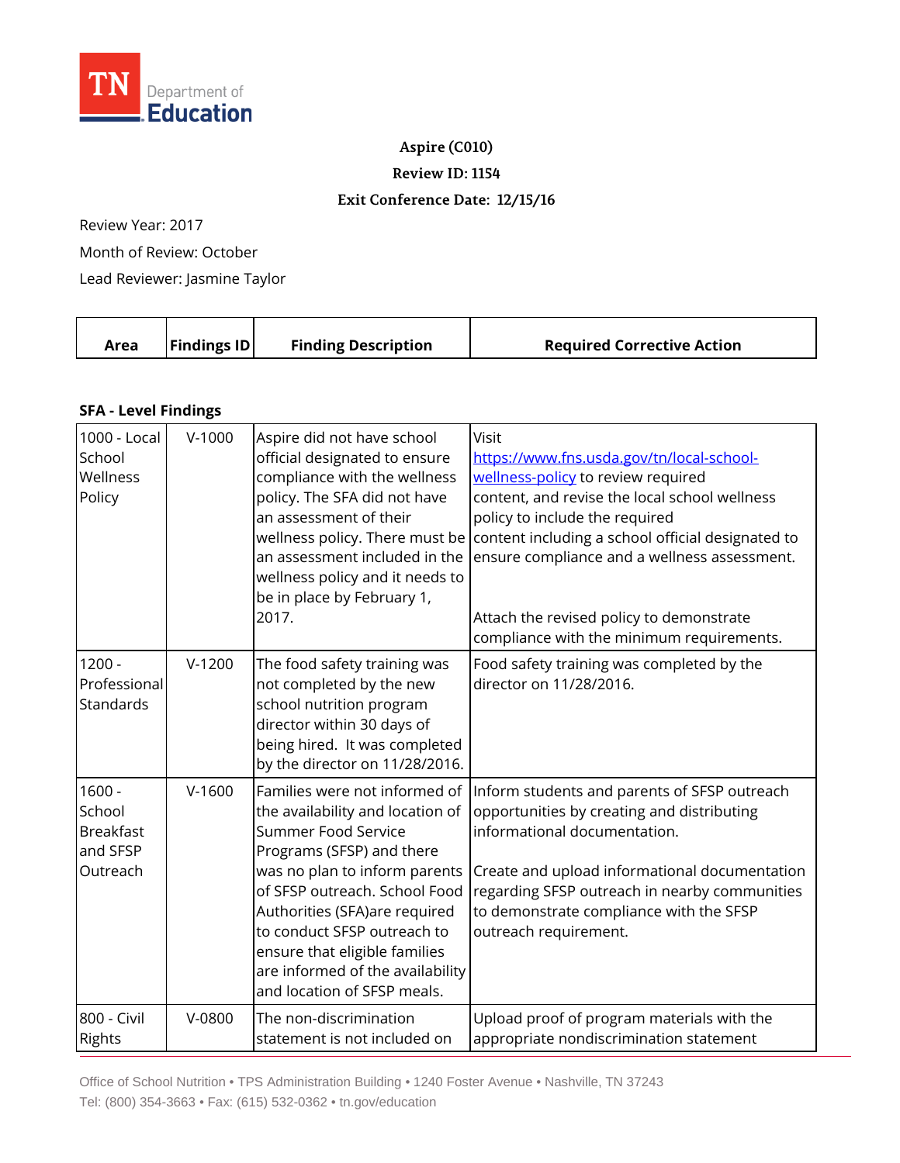

**Aspire (C010)**

**Review ID: 1154**

## **Exit Conference Date: 12/15/16**

Review Year: 2017

Month of Review: October

Lead Reviewer: Jasmine Taylor

|  | Area | <b>Findings ID</b> | <b>Finding Description</b> | <b>Required Corrective Action</b> |
|--|------|--------------------|----------------------------|-----------------------------------|
|--|------|--------------------|----------------------------|-----------------------------------|

## **SFA - Level Findings**

| 1000 - Local<br>School<br>Wellness<br>Policy                   | $V-1000$ | Aspire did not have school<br>official designated to ensure<br>compliance with the wellness<br>policy. The SFA did not have<br>an assessment of their<br>an assessment included in the<br>wellness policy and it needs to<br>be in place by February 1,<br>2017.                                                                                            | Visit<br>https://www.fns.usda.gov/tn/local-school-<br>wellness-policy to review required<br>content, and revise the local school wellness<br>policy to include the required<br>wellness policy. There must be content including a school official designated to<br>ensure compliance and a wellness assessment.<br>Attach the revised policy to demonstrate |
|----------------------------------------------------------------|----------|-------------------------------------------------------------------------------------------------------------------------------------------------------------------------------------------------------------------------------------------------------------------------------------------------------------------------------------------------------------|-------------------------------------------------------------------------------------------------------------------------------------------------------------------------------------------------------------------------------------------------------------------------------------------------------------------------------------------------------------|
| $1200 -$<br>Professional<br>Standards                          | $V-1200$ | The food safety training was<br>not completed by the new<br>school nutrition program<br>director within 30 days of<br>being hired. It was completed<br>by the director on 11/28/2016.                                                                                                                                                                       | compliance with the minimum requirements.<br>Food safety training was completed by the<br>director on 11/28/2016.                                                                                                                                                                                                                                           |
| $1600 -$<br>School<br><b>Breakfast</b><br>and SFSP<br>Outreach | $V-1600$ | Families were not informed of<br>the availability and location of<br>Summer Food Service<br>Programs (SFSP) and there<br>was no plan to inform parents<br>of SFSP outreach. School Food<br>Authorities (SFA)are required<br>to conduct SFSP outreach to<br>ensure that eligible families<br>are informed of the availability<br>and location of SFSP meals. | Inform students and parents of SFSP outreach<br>opportunities by creating and distributing<br>informational documentation.<br>Create and upload informational documentation<br>regarding SFSP outreach in nearby communities<br>to demonstrate compliance with the SFSP<br>outreach requirement.                                                            |
| 800 - Civil<br>Rights                                          | V-0800   | The non-discrimination<br>statement is not included on                                                                                                                                                                                                                                                                                                      | Upload proof of program materials with the<br>appropriate nondiscrimination statement                                                                                                                                                                                                                                                                       |